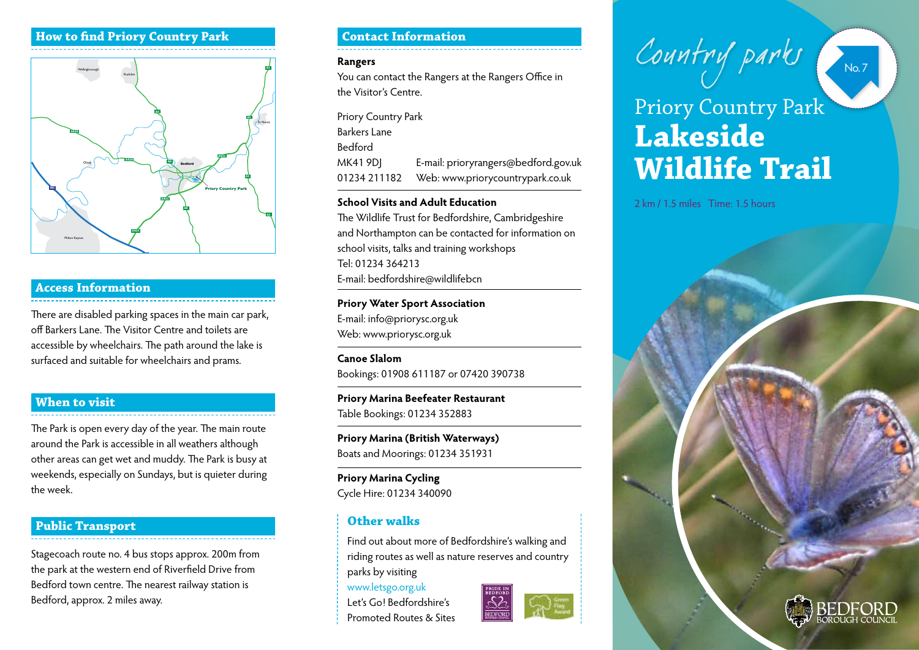#### **How to find Priory Country Park**



#### **Access Information**

There are disabled parking spaces in the main car park, off Barkers Lane. The Visitor Centre and toilets are accessible by wheelchairs. The path around the lake is surfaced and suitable for wheelchairs and prams.

#### **When to visit**

The Park is open every day of the year. The main route around the Park is accessible in all weathers although other areas can get wet and muddy. The Park is busy at weekends, especially on Sundays, but is quieter during the week.

## **Public Transport Other walks**

Stagecoach route no. 4 bus stops approx. 200m from the park at the western end of Riverfield Drive from Bedford town centre. The nearest railway station is Bedford, approx. 2 miles away.

#### **Contact Information**

#### **Rangers**

You can contact the Rangers at the Rangers Office in the Visitor's Centre.

| Priory Country Park |                                      |
|---------------------|--------------------------------------|
| Barkers Lane        |                                      |
| Bedford             |                                      |
| MK41 9DJ            | E-mail: prioryrangers@bedford.gov.uk |
| 01234 211182        | Web: www.priorycountrypark.co.uk     |
|                     |                                      |

#### **School Visits and Adult Education**

The Wildlife Trust for Bedfordshire, Cambridgeshire and Northampton can be contacted for information on school visits, talks and training workshops Tel: 01234 364213 E-mail: bedfordshire@wildlifebcn

### **Priory Water Sport Association** E-mail: info@priorysc.org.uk

Web: www.priorysc.org.uk

**Canoe Slalom** Bookings: 01908 611187 or 07420 390738

**Priory Marina Beefeater Restaurant** Table Bookings: 01234 352883

**Priory Marina (British Waterways)** Boats and Moorings: 01234 351931

**Priory Marina Cycling** Cycle Hire: 01234 340090

Find out about more of Bedfordshire's walking and riding routes as well as nature reserves and country parks by visiting

www.letsgo.org.uk Let's Go! Bedfordshire's Promoted Routes & Sites



# **Lakeside Wildlife Trail** Country parks Priory Country Park

2 km / 1.5 miles Time: 1.5 hours